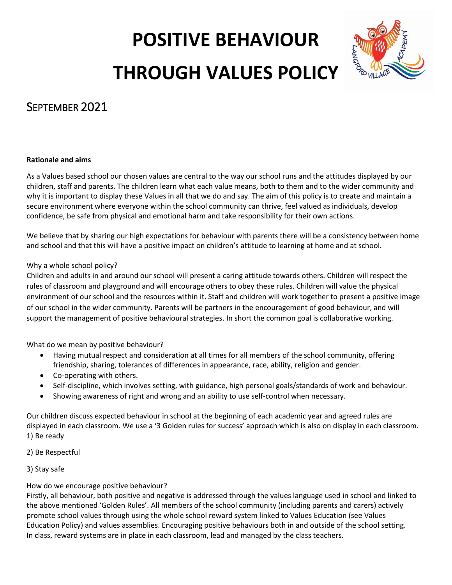# **POSITIVE BEHAVIOUR THROUGH VALUES POLICY**



### SEPTEMBER 2021

#### **Rationale and aims**

As a Values based school our chosen values are central to the way our school runs and the attitudes displayed by our children, staff and parents. The children learn what each value means, both to them and to the wider community and why it is important to display these Values in all that we do and say. The aim of this policy is to create and maintain a secure environment where everyone within the school community can thrive, feel valued as individuals, develop confidence, be safe from physical and emotional harm and take responsibility for their own actions.

We believe that by sharing our high expectations for behaviour with parents there will be a consistency between home and school and that this will have a positive impact on children's attitude to learning at home and at school.

#### Why a whole school policy?

Children and adults in and around our school will present a caring attitude towards others. Children will respect the rules of classroom and playground and will encourage others to obey these rules. Children will value the physical environment of our school and the resources within it. Staff and children will work together to present a positive image of our school in the wider community. Parents will be partners in the encouragement of good behaviour, and will support the management of positive behavioural strategies. In short the common goal is collaborative working.

What do we mean by positive behaviour?

- Having mutual respect and consideration at all times for all members of the school community, offering friendship, sharing, tolerances of differences in appearance, race, ability, religion and gender.
- Co-operating with others.
- Self-discipline, which involves setting, with guidance, high personal goals/standards of work and behaviour.
- Showing awareness of right and wrong and an ability to use self-control when necessary.

Our children discuss expected behaviour in school at the beginning of each academic year and agreed rules are displayed in each classroom. We use a '3 Golden rules for success' approach which is also on display in each classroom. 1) Be ready

#### 2) Be Respectful

#### 3) Stay safe

#### How do we encourage positive behaviour?

Firstly, all behaviour, both positive and negative is addressed through the values language used in school and linked to the above mentioned 'Golden Rules'. All members of the school community (including parents and carers) actively promote school values through using the whole school reward system linked to Values Education (see Values Education Policy) and values assemblies. Encouraging positive behaviours both in and outside of the school setting. In class, reward systems are in place in each classroom, lead and managed by the class teachers.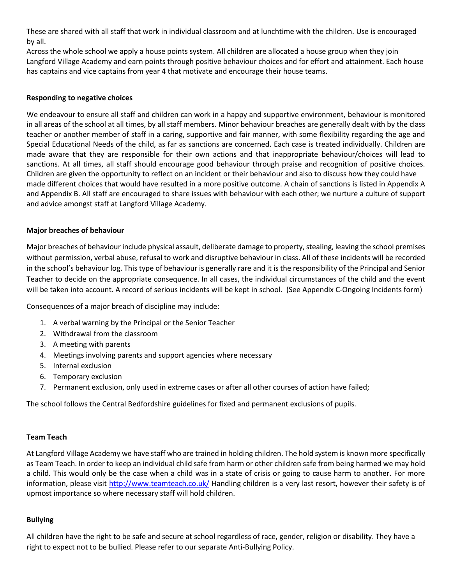These are shared with all staff that work in individual classroom and at lunchtime with the children. Use is encouraged by all.

Across the whole school we apply a house points system. All children are allocated a house group when they join Langford Village Academy and earn points through positive behaviour choices and for effort and attainment. Each house has captains and vice captains from year 4 that motivate and encourage their house teams.

#### **Responding to negative choices**

We endeavour to ensure all staff and children can work in a happy and supportive environment, behaviour is monitored in all areas of the school at all times, by all staff members. Minor behaviour breaches are generally dealt with by the class teacher or another member of staff in a caring, supportive and fair manner, with some flexibility regarding the age and Special Educational Needs of the child, as far as sanctions are concerned. Each case is treated individually. Children are made aware that they are responsible for their own actions and that inappropriate behaviour/choices will lead to sanctions. At all times, all staff should encourage good behaviour through praise and recognition of positive choices. Children are given the opportunity to reflect on an incident or their behaviour and also to discuss how they could have made different choices that would have resulted in a more positive outcome. A chain of sanctions is listed in Appendix A and Appendix B. All staff are encouraged to share issues with behaviour with each other; we nurture a culture of support and advice amongst staff at Langford Village Academy.

#### **Major breaches of behaviour**

Major breaches of behaviour include physical assault, deliberate damage to property, stealing, leaving the school premises without permission, verbal abuse, refusal to work and disruptive behaviour in class. All of these incidents will be recorded in the school's behaviour log. This type of behaviour is generally rare and it is the responsibility of the Principal and Senior Teacher to decide on the appropriate consequence. In all cases, the individual circumstances of the child and the event will be taken into account. A record of serious incidents will be kept in school. (See Appendix C-Ongoing Incidents form)

Consequences of a major breach of discipline may include:

- 1. A verbal warning by the Principal or the Senior Teacher
- 2. Withdrawal from the classroom
- 3. A meeting with parents
- 4. Meetings involving parents and support agencies where necessary
- 5. Internal exclusion
- 6. Temporary exclusion
- 7. Permanent exclusion, only used in extreme cases or after all other courses of action have failed;

The school follows the Central Bedfordshire guidelines for fixed and permanent exclusions of pupils.

#### **Team Teach**

At Langford Village Academy we have staff who are trained in holding children. The hold system is known more specifically as Team Teach. In order to keep an individual child safe from harm or other children safe from being harmed we may hold a child. This would only be the case when a child was in a state of crisis or going to cause harm to another. For more information, please visit <http://www.teamteach.co.uk/> Handling children is a very last resort, however their safety is of upmost importance so where necessary staff will hold children.

#### **Bullying**

All children have the right to be safe and secure at school regardless of race, gender, religion or disability. They have a right to expect not to be bullied. Please refer to our separate Anti-Bullying Policy.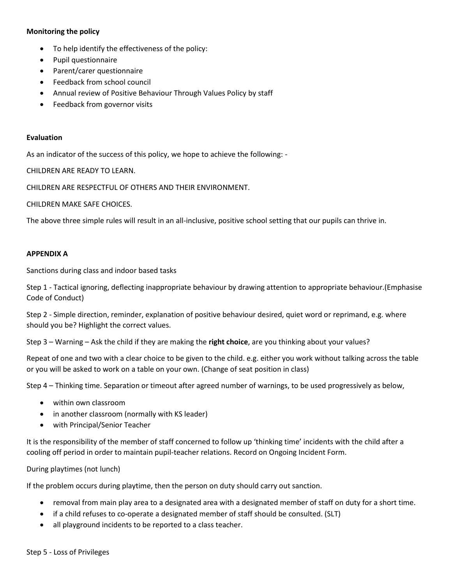#### **Monitoring the policy**

- To help identify the effectiveness of the policy:
- Pupil questionnaire
- Parent/carer questionnaire
- Feedback from school council
- Annual review of Positive Behaviour Through Values Policy by staff
- Feedback from governor visits

#### **Evaluation**

As an indicator of the success of this policy, we hope to achieve the following: -

CHILDREN ARE READY TO LEARN.

CHILDREN ARE RESPECTFUL OF OTHERS AND THEIR ENVIRONMENT.

CHILDREN MAKE SAFE CHOICES.

The above three simple rules will result in an all-inclusive, positive school setting that our pupils can thrive in.

#### **APPENDIX A**

Sanctions during class and indoor based tasks

Step 1 - Tactical ignoring, deflecting inappropriate behaviour by drawing attention to appropriate behaviour.(Emphasise Code of Conduct)

Step 2 - Simple direction, reminder, explanation of positive behaviour desired, quiet word or reprimand, e.g. where should you be? Highlight the correct values.

Step 3 – Warning – Ask the child if they are making the **right choice**, are you thinking about your values?

Repeat of one and two with a clear choice to be given to the child. e.g. either you work without talking across the table or you will be asked to work on a table on your own. (Change of seat position in class)

Step 4 – Thinking time. Separation or timeout after agreed number of warnings, to be used progressively as below,

- within own classroom
- in another classroom (normally with KS leader)
- with Principal/Senior Teacher

It is the responsibility of the member of staff concerned to follow up 'thinking time' incidents with the child after a cooling off period in order to maintain pupil-teacher relations. Record on Ongoing Incident Form.

During playtimes (not lunch)

If the problem occurs during playtime, then the person on duty should carry out sanction.

- removal from main play area to a designated area with a designated member of staff on duty for a short time.
- if a child refuses to co-operate a designated member of staff should be consulted. (SLT)
- all playground incidents to be reported to a class teacher.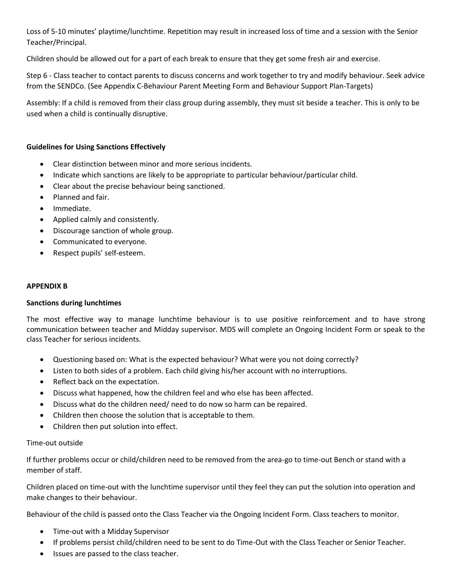Loss of 5-10 minutes' playtime/lunchtime. Repetition may result in increased loss of time and a session with the Senior Teacher/Principal.

Children should be allowed out for a part of each break to ensure that they get some fresh air and exercise.

Step 6 - Class teacher to contact parents to discuss concerns and work together to try and modify behaviour. Seek advice from the SENDCo. (See Appendix C-Behaviour Parent Meeting Form and Behaviour Support Plan-Targets)

Assembly: If a child is removed from their class group during assembly, they must sit beside a teacher. This is only to be used when a child is continually disruptive.

#### **Guidelines for Using Sanctions Effectively**

- Clear distinction between minor and more serious incidents.
- Indicate which sanctions are likely to be appropriate to particular behaviour/particular child.
- Clear about the precise behaviour being sanctioned.
- Planned and fair.
- Immediate.
- Applied calmly and consistently.
- Discourage sanction of whole group.
- Communicated to everyone.
- Respect pupils' self-esteem.

#### **APPENDIX B**

#### **Sanctions during lunchtimes**

The most effective way to manage lunchtime behaviour is to use positive reinforcement and to have strong communication between teacher and Midday supervisor. MDS will complete an Ongoing Incident Form or speak to the class Teacher for serious incidents.

- Questioning based on: What is the expected behaviour? What were you not doing correctly?
- Listen to both sides of a problem. Each child giving his/her account with no interruptions.
- Reflect back on the expectation.
- Discuss what happened, how the children feel and who else has been affected.
- Discuss what do the children need/ need to do now so harm can be repaired.
- Children then choose the solution that is acceptable to them.
- Children then put solution into effect.

#### Time-out outside

If further problems occur or child/children need to be removed from the area-go to time-out Bench or stand with a member of staff.

Children placed on time-out with the lunchtime supervisor until they feel they can put the solution into operation and make changes to their behaviour.

Behaviour of the child is passed onto the Class Teacher via the Ongoing Incident Form. Class teachers to monitor.

- Time-out with a Midday Supervisor
- If problems persist child/children need to be sent to do Time-Out with the Class Teacher or Senior Teacher.
- Issues are passed to the class teacher.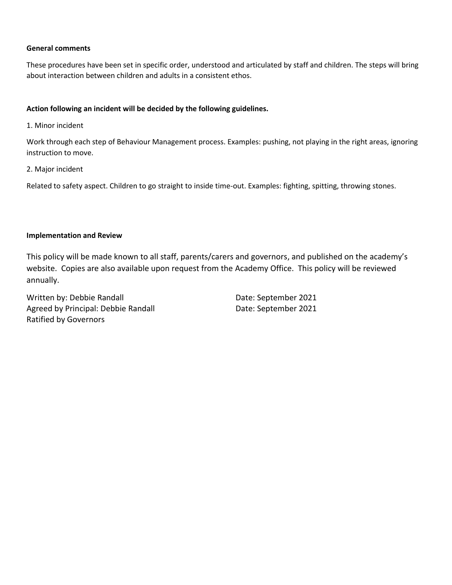#### **General comments**

These procedures have been set in specific order, understood and articulated by staff and children. The steps will bring about interaction between children and adults in a consistent ethos.

#### **Action following an incident will be decided by the following guidelines.**

1. Minor incident

Work through each step of Behaviour Management process. Examples: pushing, not playing in the right areas, ignoring instruction to move.

2. Major incident

Related to safety aspect. Children to go straight to inside time-out. Examples: fighting, spitting, throwing stones.

#### **Implementation and Review**

This policy will be made known to all staff, parents/carers and governors, and published on the academy's website. Copies are also available upon request from the Academy Office. This policy will be reviewed annually.

Written by: Debbie Randall **Date: September 2021** Agreed by Principal: Debbie Randall Date: September 2021 Ratified by Governors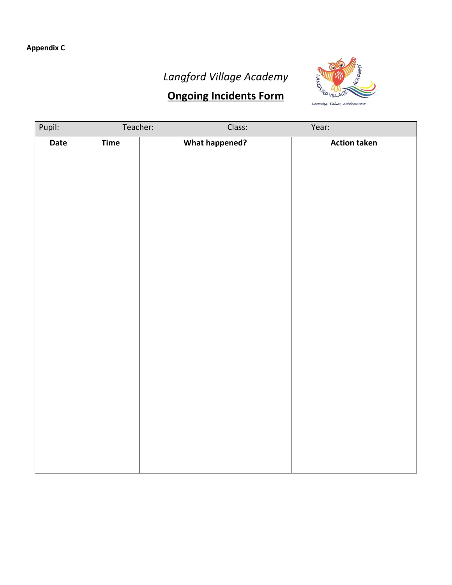# *Langford Village Academy*

## **Ongoing Incidents Form**



| Pupil: | Teacher: | Class:                | Year: |                     |
|--------|----------|-----------------------|-------|---------------------|
| Date   | Time     | <b>What happened?</b> |       | <b>Action taken</b> |
|        |          |                       |       |                     |
|        |          |                       |       |                     |
|        |          |                       |       |                     |
|        |          |                       |       |                     |
|        |          |                       |       |                     |
|        |          |                       |       |                     |
|        |          |                       |       |                     |
|        |          |                       |       |                     |
|        |          |                       |       |                     |
|        |          |                       |       |                     |
|        |          |                       |       |                     |
|        |          |                       |       |                     |
|        |          |                       |       |                     |
|        |          |                       |       |                     |
|        |          |                       |       |                     |
|        |          |                       |       |                     |
|        |          |                       |       |                     |
|        |          |                       |       |                     |
|        |          |                       |       |                     |
|        |          |                       |       |                     |
|        |          |                       |       |                     |
|        |          |                       |       |                     |
|        |          |                       |       |                     |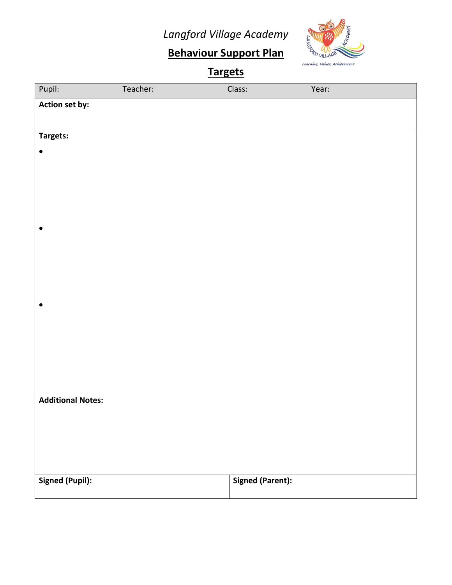*Langford Village Academy*



# **Behaviour Support Plan**

| <b>Targets</b>           |          |                         |       |  |  |  |
|--------------------------|----------|-------------------------|-------|--|--|--|
| Pupil:                   | Teacher: | Class:                  | Year: |  |  |  |
| Action set by:           |          |                         |       |  |  |  |
|                          |          |                         |       |  |  |  |
| Targets:                 |          |                         |       |  |  |  |
| $\bullet$                |          |                         |       |  |  |  |
|                          |          |                         |       |  |  |  |
|                          |          |                         |       |  |  |  |
|                          |          |                         |       |  |  |  |
|                          |          |                         |       |  |  |  |
| $\bullet$                |          |                         |       |  |  |  |
|                          |          |                         |       |  |  |  |
|                          |          |                         |       |  |  |  |
|                          |          |                         |       |  |  |  |
| $\bullet$                |          |                         |       |  |  |  |
|                          |          |                         |       |  |  |  |
|                          |          |                         |       |  |  |  |
|                          |          |                         |       |  |  |  |
|                          |          |                         |       |  |  |  |
|                          |          |                         |       |  |  |  |
| <b>Additional Notes:</b> |          |                         |       |  |  |  |
|                          |          |                         |       |  |  |  |
|                          |          |                         |       |  |  |  |
|                          |          |                         |       |  |  |  |
|                          |          |                         |       |  |  |  |
| <b>Signed (Pupil):</b>   |          | <b>Signed (Parent):</b> |       |  |  |  |
|                          |          |                         |       |  |  |  |
|                          |          |                         |       |  |  |  |